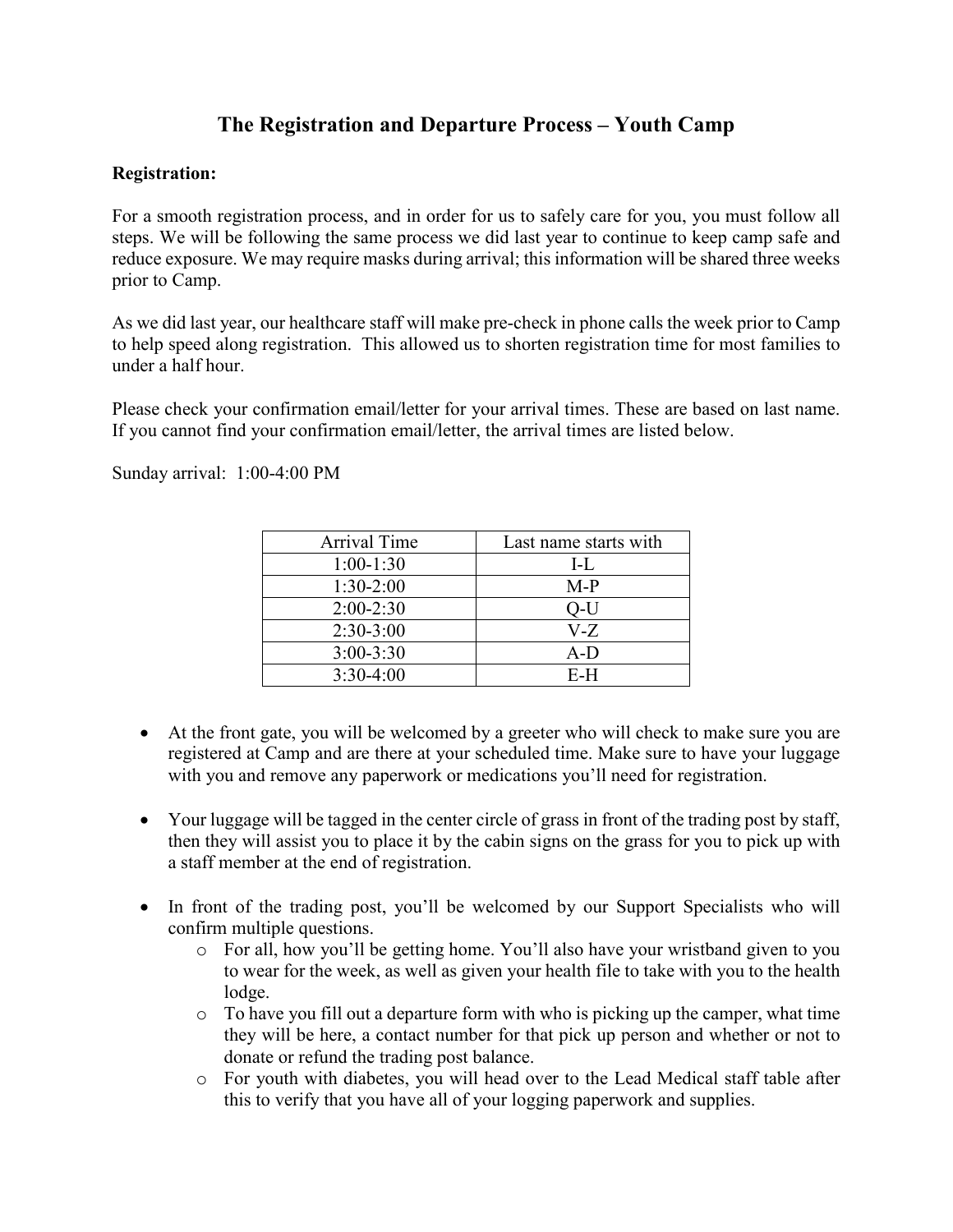## **The Registration and Departure Process – Youth Camp**

## **Registration:**

For a smooth registration process, and in order for us to safely care for you, you must follow all steps. We will be following the same process we did last year to continue to keep camp safe and reduce exposure. We may require masks during arrival; this information will be shared three weeks prior to Camp.

As we did last year, our healthcare staff will make pre-check in phone calls the week prior to Camp to help speed along registration. This allowed us to shorten registration time for most families to under a half hour.

Please check your confirmation email/letter for your arrival times. These are based on last name. If you cannot find your confirmation email/letter, the arrival times are listed below.

Sunday arrival: 1:00-4:00 PM

| Arrival Time  | Last name starts with |
|---------------|-----------------------|
| $1:00-1:30$   | $L_{\rm L}$           |
| $1:30-2:00$   | $M-P$                 |
| $2:00-2:30$   | O-U                   |
| $2:30-3:00$   | V-Z                   |
| $3:00 - 3:30$ | $A-D$                 |
| $3:30-4:00$   | $E-H$                 |

- At the front gate, you will be welcomed by a greeter who will check to make sure you are registered at Camp and are there at your scheduled time. Make sure to have your luggage with you and remove any paperwork or medications you'll need for registration.
- Your luggage will be tagged in the center circle of grass in front of the trading post by staff, then they will assist you to place it by the cabin signs on the grass for you to pick up with a staff member at the end of registration.
- In front of the trading post, you'll be welcomed by our Support Specialists who will confirm multiple questions.
	- o For all, how you'll be getting home. You'll also have your wristband given to you to wear for the week, as well as given your health file to take with you to the health lodge.
	- o To have you fill out a departure form with who is picking up the camper, what time they will be here, a contact number for that pick up person and whether or not to donate or refund the trading post balance.
	- o For youth with diabetes, you will head over to the Lead Medical staff table after this to verify that you have all of your logging paperwork and supplies.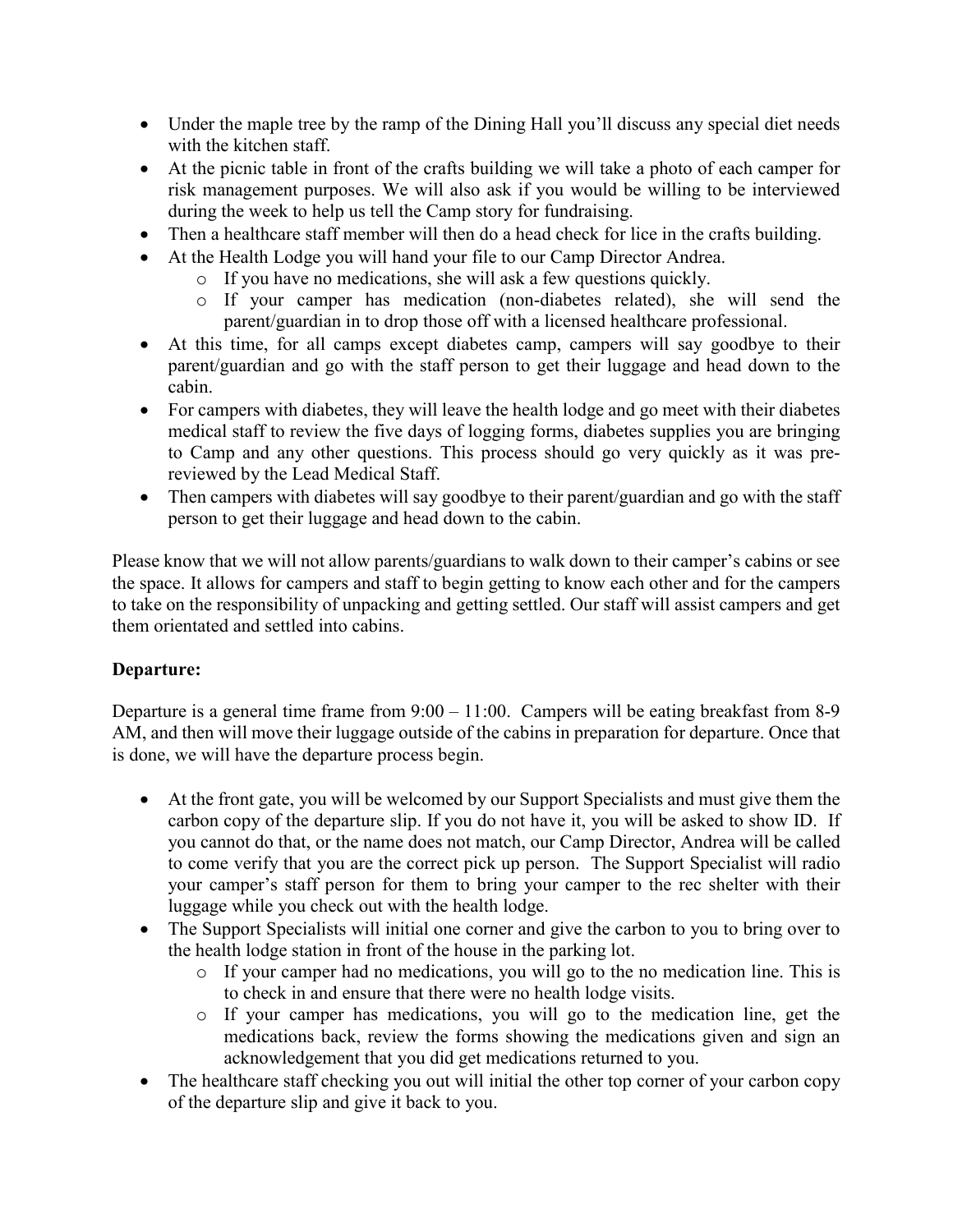- Under the maple tree by the ramp of the Dining Hall you'll discuss any special diet needs with the kitchen staff.
- At the picnic table in front of the crafts building we will take a photo of each camper for risk management purposes. We will also ask if you would be willing to be interviewed during the week to help us tell the Camp story for fundraising.
- Then a healthcare staff member will then do a head check for lice in the crafts building.
- At the Health Lodge you will hand your file to our Camp Director Andrea.
	- o If you have no medications, she will ask a few questions quickly.
	- o If your camper has medication (non-diabetes related), she will send the parent/guardian in to drop those off with a licensed healthcare professional.
- At this time, for all camps except diabetes camp, campers will say goodbye to their parent/guardian and go with the staff person to get their luggage and head down to the cabin.
- For campers with diabetes, they will leave the health lodge and go meet with their diabetes medical staff to review the five days of logging forms, diabetes supplies you are bringing to Camp and any other questions. This process should go very quickly as it was prereviewed by the Lead Medical Staff.
- Then campers with diabetes will say goodbye to their parent/guardian and go with the staff person to get their luggage and head down to the cabin.

Please know that we will not allow parents/guardians to walk down to their camper's cabins or see the space. It allows for campers and staff to begin getting to know each other and for the campers to take on the responsibility of unpacking and getting settled. Our staff will assist campers and get them orientated and settled into cabins.

## **Departure:**

Departure is a general time frame from  $9:00 - 11:00$ . Campers will be eating breakfast from 8-9 AM, and then will move their luggage outside of the cabins in preparation for departure. Once that is done, we will have the departure process begin.

- At the front gate, you will be welcomed by our Support Specialists and must give them the carbon copy of the departure slip. If you do not have it, you will be asked to show ID. If you cannot do that, or the name does not match, our Camp Director, Andrea will be called to come verify that you are the correct pick up person. The Support Specialist will radio your camper's staff person for them to bring your camper to the rec shelter with their luggage while you check out with the health lodge.
- The Support Specialists will initial one corner and give the carbon to you to bring over to the health lodge station in front of the house in the parking lot.
	- o If your camper had no medications, you will go to the no medication line. This is to check in and ensure that there were no health lodge visits.
	- o If your camper has medications, you will go to the medication line, get the medications back, review the forms showing the medications given and sign an acknowledgement that you did get medications returned to you.
- The healthcare staff checking you out will initial the other top corner of your carbon copy of the departure slip and give it back to you.